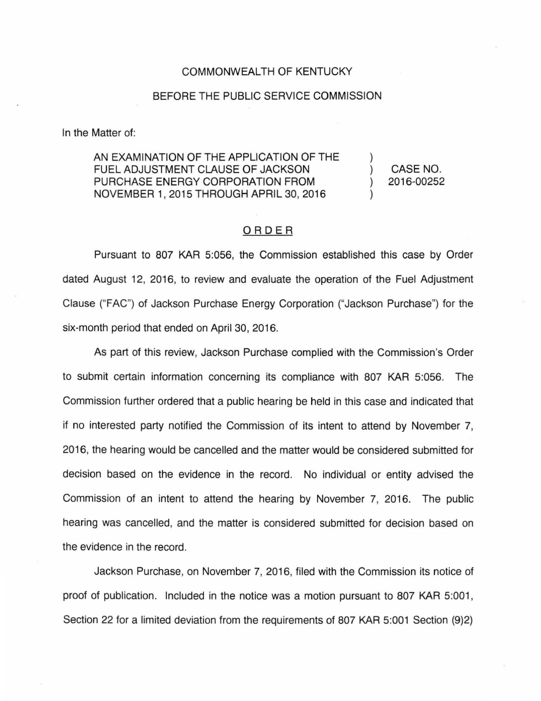## COMMONWEALTH OF KENTUCKY

## BEFORE THE PUBLIC SERVICE COMMISSION

In the Matter of:

AN EXAMINATION OF THE APPLICATION OF THE FUEL ADJUSTMENT CLAUSE OF JACKSON PURCHASE ENERGY CORPORATION FROM NOVEMBER 1, 2015 THROUGH APRIL 30, 2016

CASE NO. 2016-00252

## ORDER

Pursuant to 807 KAR 5:056, the Commission established this case by Order dated August 12, 2016, to review and evaluate the operation of the Fuel Adjustment Clause ("FAC") of Jackson Purchase Energy Corporation ("Jackson Purchase") for the six-month period that ended on April 30, 2016.

As part of this review, Jackson Purchase complied with the Commission's Order to submit certain information concerning its compliance with 807 KAR 5:056. The Commission further ordered that a public hearing be held in this case and indicated that if no interested party notified the Commission of its intent to attend by November 7, 2016, the hearing would be cancelled and the matter would be considered submitted for decision based on the evidence in the record. No individual or entity advised the Commission of an intent to attend the hearing by November 7, 2016. The public hearing was cancelled, and the matter is considered submitted for decision based on the evidence in the record.

Jackson Purchase, on November 7, 2016, filed with the Commission its notice of proof of publication. Included in the notice was a motion pursuant to 807 KAR 5:001, Section 22 for a limited deviation from the requirements of 807 KAR 5:001 Section (9)2)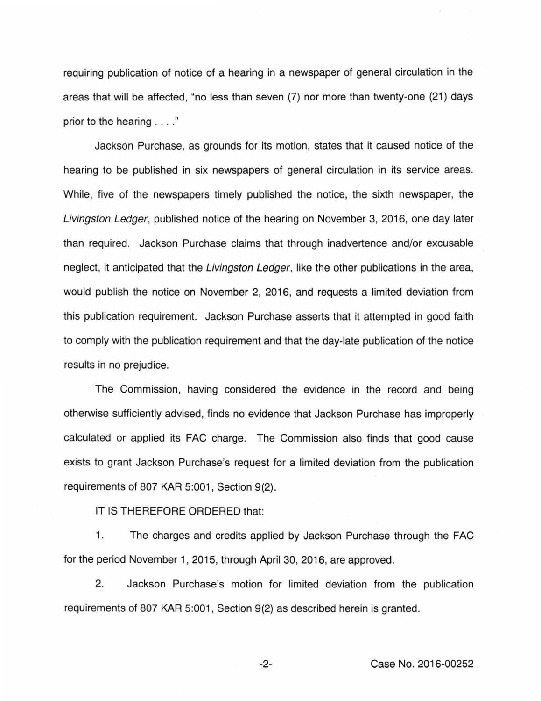requiring publication of notice of a hearing in a newspaper of general circulation in the areas that will be affected, "no less than seven (7) nor more than twenty-one (21) days prior to the hearing . . .. "

Jackson Purchase, as grounds for its motion, states that it caused notice of the hearing to be published in six newspapers of general circulation in its service areas. While, five of the newspapers timely published the notice, the sixth newspaper, the Livingston Ledger, published notice of the hearing on November 3, 2016, one day later than required. Jackson Purchase claims that through inadvertence and/or excusable neglect, it anticipated that the Livingston Ledger, like the other publications in the area, would publish the notice on November 2, 2016, and requests a limited deviation from this publication requirement. Jackson Purchase asserts that it attempted in good faith to comply with the publication requirement and that the day-late publication of the notice results in no prejudice.

The Commission, having considered the evidence in the record and being otherwise sufficiently advised, finds no evidence that Jackson Purchase has improperly calculated or applied its FAC charge. The Commission also finds that good cause exists to grant Jackson Purchase's request for a limited deviation from the publication requirements of 807 KAR 5:001, Section 9(2).

IT IS THEREFORE ORDERED that:

1. The charges and credits applied by Jackson Purchase through the FAC for the period November 1, 2015, through April 30, 2016, are approved.

2. Jackson Purchase's motion for limited deviation from the publication requirements of 807 KAR 5:001 , Section 9(2) as described herein is granted.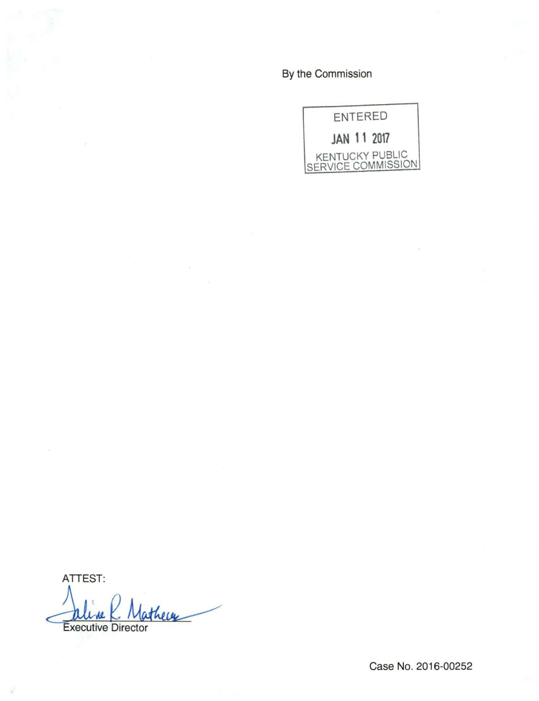By the Commission



ATTEST: thewe **Executive Director** 

Case No. 2016-00252